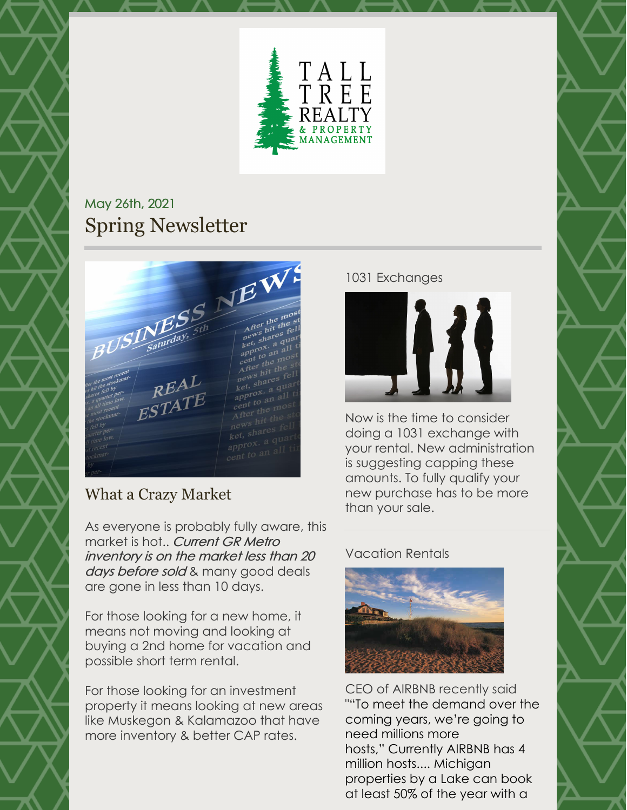

## May 26th, 2021 Spring Newsletter

 $BUSL$  Saturday,  $5$ th and the most property of the proof of the street of the street of the street of the street to an all times of the most REAL  $R_{\rm FSTATE}^{R_{\rm FFTE}}$ 

## What a Crazy Market

As everyone is probably fully aware, this market is hot.. Current GR Metro inventory is on the market less than 20 days before sold & many good deals are gone in less than 10 days.

For those looking for a new home, it means not moving and looking at buying a 2nd home for vacation and possible short term rental.

For those looking for an investment property it means looking at new areas like Muskegon & Kalamazoo that have more inventory & better CAP rates.

## 1031 Exchanges



Now is the time to consider doing a 1031 exchange with your rental. New administration is suggesting capping these amounts. To fully qualify your new purchase has to be more than your sale.

## Vacation Rentals



CEO of AIRBNB recently said ""To meet the demand over the coming years, we're going to need millions more hosts," Currently AIRBNB has 4 million hosts.... Michigan properties by a Lake can book at least 50% of the year with a